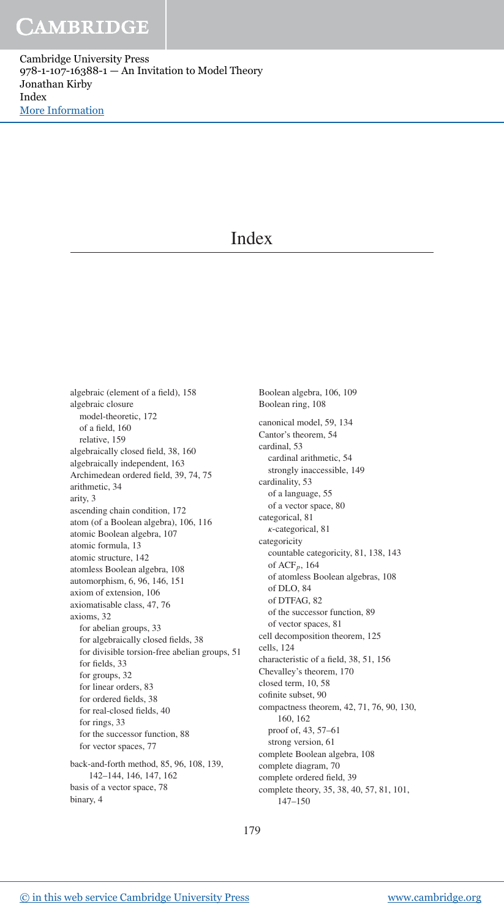Cambridge University Press 978-1-107-16388-1 — An Invitation to Model Theory Jonathan Kirby Index [More Information](www.cambridge.org/9781107163881)

## **Index**

algebraic (element of a field), 158 algebraic closure model-theoretic, 172 of a field, 160 relative, 159 algebraically closed field, 38, 160 algebraically independent, 163 Archimedean ordered field, 39, 74, 75 arithmetic, 34 arity, 3 ascending chain condition, 172 atom (of a Boolean algebra), 106, 116 atomic Boolean algebra, 107 atomic formula, 13 atomic structure, 142 atomless Boolean algebra, 108 automorphism, 6, 96, 146, 151 axiom of extension, 106 axiomatisable class, 47, 76 axioms, 32 for abelian groups, 33 for algebraically closed fields, 38 for divisible torsion-free abelian groups, 51 for fields, 33 for groups, 32 for linear orders, 83 for ordered fields, 38 for real-closed fields, 40 for rings, 33 for the successor function, 88 for vector spaces, 77 back-and-forth method, 85, 96, 108, 139, 142–144, 146, 147, 162 basis of a vector space, 78 binary, 4

Boolean algebra, 106, 109 Boolean ring, 108 canonical model, 59, 134 Cantor's theorem, 54 cardinal, 53 cardinal arithmetic, 54 strongly inaccessible, 149 cardinality, 53 of a language, 55 of a vector space, 80 categorical, 81 κ-categorical, 81 categoricity countable categoricity, 81, 138, 143 of ACF*p*, 164 of atomless Boolean algebras, 108 of DLO, 84 of DTFAG, 82 of the successor function, 89 of vector spaces, 81 cell decomposition theorem, 125 cells, 124 characteristic of a field, 38, 51, 156 Chevalley's theorem, 170 closed term, 10, 58 cofinite subset, 90 compactness theorem, 42, 71, 76, 90, 130, 160, 162 proof of, 43, 57–61 strong version, 61 complete Boolean algebra, 108 complete diagram, 70 complete ordered field, 39 complete theory, 35, 38, 40, 57, 81, 101, 147–150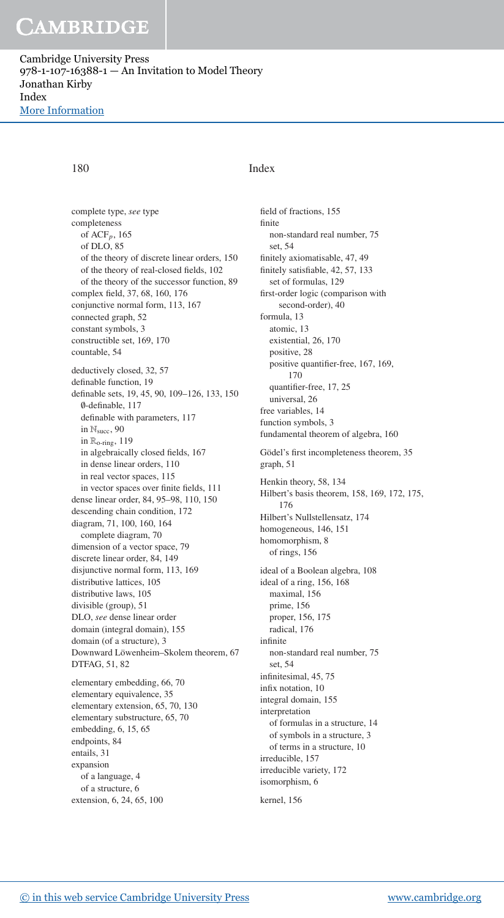# CAMBRIDGE

Cambridge University Press 978-1-107-16388-1 — An Invitation to Model Theory Jonathan Kirby Index [More Information](www.cambridge.org/9781107163881)

## 180 Index

complete type, *see* type completeness of ACF*p*, 165 of DLO, 85 of the theory of discrete linear orders, 150 of the theory of real-closed fields, 102 of the theory of the successor function, 89 complex field, 37, 68, 160, 176 conjunctive normal form, 113, 167 connected graph, 52 constant symbols, 3 constructible set, 169, 170 countable, 54 deductively closed, 32, 57 definable function, 19 definable sets, 19, 45, 90, 109–126, 133, 150 ∅-definable, 117 definable with parameters, 117 in  $\mathbb{N}_{succ}$ , 90 in Ro-ring, 119 in algebraically closed fields, 167 in dense linear orders, 110 in real vector spaces, 115 in vector spaces over finite fields, 111 dense linear order, 84, 95–98, 110, 150 descending chain condition, 172 diagram, 71, 100, 160, 164 complete diagram, 70 dimension of a vector space, 79 discrete linear order, 84, 149 disjunctive normal form, 113, 169 distributive lattices, 105 distributive laws, 105 divisible (group), 51 DLO, *see* dense linear order domain (integral domain), 155 domain (of a structure), 3 Downward Löwenheim-Skolem theorem, 67 DTFAG, 51, 82 elementary embedding, 66, 70 elementary equivalence, 35 elementary extension, 65, 70, 130 elementary substructure, 65, 70 embedding, 6, 15, 65 endpoints, 84 entails, 31 expansion of a language, 4 of a structure, 6 extension, 6, 24, 65, 100

field of fractions, 155 finite non-standard real number, 75 set, 54 finitely axiomatisable, 47, 49 finitely satisfiable, 42, 57, 133 set of formulas, 129 first-order logic (comparison with second-order), 40 formula, 13 atomic, 13 existential, 26, 170 positive, 28 positive quantifier-free, 167, 169, 170 quantifier-free, 17, 25 universal, 26 free variables, 14 function symbols, 3 fundamental theorem of algebra, 160 Gödel's first incompleteness theorem, 35 graph, 51 Henkin theory, 58, 134 Hilbert's basis theorem, 158, 169, 172, 175, 176 Hilbert's Nullstellensatz, 174 homogeneous, 146, 151 homomorphism, 8 of rings, 156 ideal of a Boolean algebra, 108 ideal of a ring, 156, 168 maximal, 156 prime, 156 proper, 156, 175 radical, 176 infinite non-standard real number, 75 set, 54 infinitesimal, 45, 75 infix notation, 10 integral domain, 155 interpretation of formulas in a structure, 14 of symbols in a structure, 3 of terms in a structure, 10 irreducible, 157 irreducible variety, 172 isomorphism, 6

kernel, 156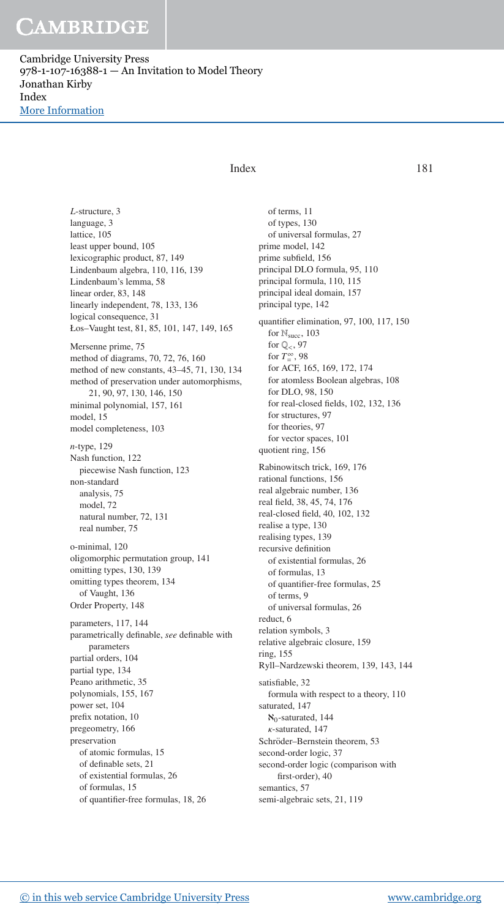# CAMBRIDGE

Cambridge University Press 978-1-107-16388-1 — An Invitation to Model Theory Jonathan Kirby Index [More Information](www.cambridge.org/9781107163881)

## Index 181

*L*-structure, 3 language, 3 lattice, 105 least upper bound, 105 lexicographic product, 87, 149 Lindenbaum algebra, 110, 116, 139 Lindenbaum's lemma, 58 linear order, 83, 148 linearly independent, 78, 133, 136 logical consequence, 31 Łos–Vaught test, 81, 85, 101, 147, 149, 165 Mersenne prime, 75 method of diagrams, 70, 72, 76, 160 method of new constants, 43–45, 71, 130, 134 method of preservation under automorphisms, 21, 90, 97, 130, 146, 150 minimal polynomial, 157, 161 model, 15 model completeness, 103 *n*-type, 129 Nash function, 122 piecewise Nash function, 123 non-standard analysis, 75 model, 72 natural number, 72, 131 real number, 75 o-minimal, 120 oligomorphic permutation group, 141 omitting types, 130, 139 omitting types theorem, 134 of Vaught, 136 Order Property, 148 parameters, 117, 144 parametrically definable, *see* definable with parameters partial orders, 104 partial type, 134 Peano arithmetic, 35 polynomials, 155, 167 power set, 104 prefix notation, 10 pregeometry, 166 preservation of atomic formulas, 15 of definable sets, 21 of existential formulas, 26 of formulas, 15 of quantifier-free formulas, 18, 26

of terms, 11 of types, 130 of universal formulas, 27 prime model, 142 prime subfield, 156 principal DLO formula, 95, 110 principal formula, 110, 115 principal ideal domain, 157 principal type, 142 quantifier elimination, 97, 100, 117, 150 for  $\mathbb{N}_{succ}$ , 103 for  $\mathbb{Q}_{<}$ , 97 for  $T_{\text{m}}^{\infty}$ , 98 for ACF, 165, 169, 172, 174 for atomless Boolean algebras, 108 for DLO, 98, 150 for real-closed fields, 102, 132, 136 for structures, 97 for theories, 97 for vector spaces, 101 quotient ring, 156 Rabinowitsch trick, 169, 176 rational functions, 156 real algebraic number, 136 real field, 38, 45, 74, 176 real-closed field, 40, 102, 132 realise a type, 130 realising types, 139 recursive definition of existential formulas, 26 of formulas, 13 of quantifier-free formulas, 25 of terms, 9 of universal formulas, 26 reduct, 6 relation symbols, 3 relative algebraic closure, 159 ring, 155 Ryll–Nardzewski theorem, 139, 143, 144 satisfiable, 32 formula with respect to a theory, 110 saturated, 147  $\aleph_0$ -saturated, 144 κ-saturated, 147 Schröder–Bernstein theorem, 53 second-order logic, 37 second-order logic (comparison with first-order), 40 semantics, 57 semi-algebraic sets, 21, 119